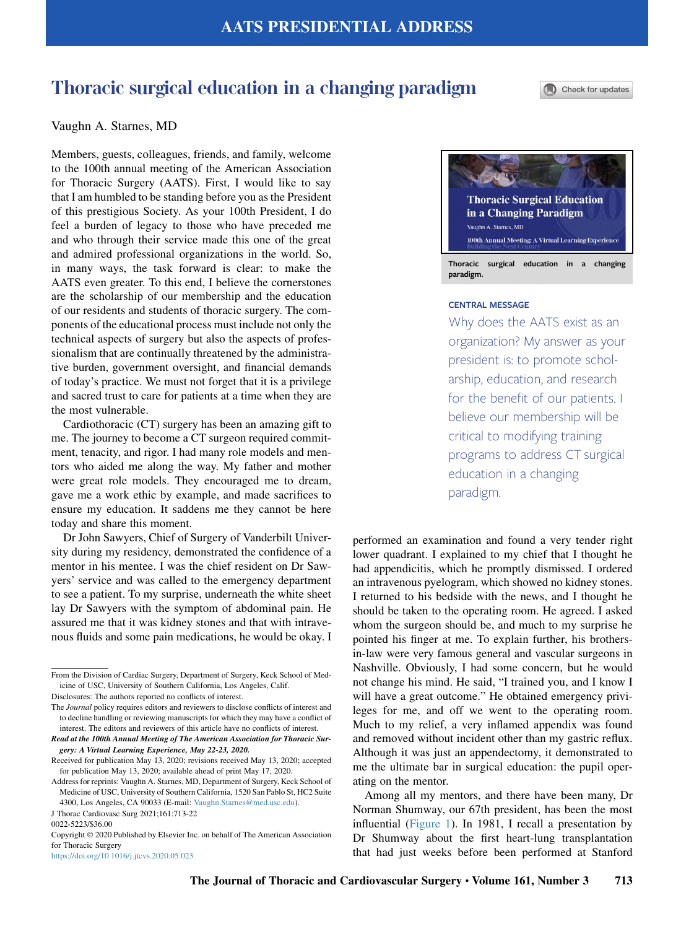# Thoracic surgical education in a changing paradigm

Check for updates

## Vaughn A. Starnes, MD

Members, guests, colleagues, friends, and family, welcome to the 100th annual meeting of the American Association for Thoracic Surgery (AATS). First, I would like to say that I am humbled to be standing before you as the President of this prestigious Society. As your 100th President, I do feel a burden of legacy to those who have preceded me and who through their service made this one of the great and admired professional organizations in the world. So, in many ways, the task forward is clear: to make the AATS even greater. To this end, I believe the cornerstones are the scholarship of our membership and the education of our residents and students of thoracic surgery. The components of the educational process must include not only the technical aspects of surgery but also the aspects of professionalism that are continually threatened by the administrative burden, government oversight, and financial demands of today's practice. We must not forget that it is a privilege and sacred trust to care for patients at a time when they are the most vulnerable.

Cardiothoracic (CT) surgery has been an amazing gift to me. The journey to become a CT surgeon required commitment, tenacity, and rigor. I had many role models and mentors who aided me along the way. My father and mother were great role models. They encouraged me to dream, gave me a work ethic by example, and made sacrifices to ensure my education. It saddens me they cannot be here today and share this moment.

Dr John Sawyers, Chief of Surgery of Vanderbilt University during my residency, demonstrated the confidence of a mentor in his mentee. I was the chief resident on Dr Sawyers' service and was called to the emergency department to see a patient. To my surprise, underneath the white sheet lay Dr Sawyers with the symptom of abdominal pain. He assured me that it was kidney stones and that with intravenous fluids and some pain medications, he would be okay. I

<https://doi.org/10.1016/j.jtcvs.2020.05.023>



#### CENTRAL MESSAGE

Why does the AATS exist as an organization? My answer as your president is: to promote scholarship, education, and research for the benefit of our patients. I believe our membership will be critical to modifying training programs to address CT surgical education in a changing paradigm.

performed an examination and found a very tender right lower quadrant. I explained to my chief that I thought he had appendicitis, which he promptly dismissed. I ordered an intravenous pyelogram, which showed no kidney stones. I returned to his bedside with the news, and I thought he should be taken to the operating room. He agreed. I asked whom the surgeon should be, and much to my surprise he pointed his finger at me. To explain further, his brothersin-law were very famous general and vascular surgeons in Nashville. Obviously, I had some concern, but he would in-law were very famous general and vascular surgeons in<br>Nashville. Obviously, I had some concern, but he would<br>not change his mind. He said, "I trained you, and I know I washville. Obviously, I had some concern, but he would<br>not change his mind. He said, "I trained you, and I know I<br>will have a great outcome." He obtained emergency privileges for me, and off we went to the operating room. Much to my relief, a very inflamed appendix was found and removed without incident other than my gastric reflux. Although it was just an appendectomy, it demonstrated to me the ultimate bar in surgical education: the pupil operating on the mentor.

Among all my mentors, and there have been many, Dr Norman Shumway, our 67th president, has been the most influential [\(Figure 1](#page-1-0)). In 1981, I recall a presentation by Dr Shumway about the first heart-lung transplantation that had just weeks before been performed at Stanford

From the Division of Cardiac Surgery, Department of Surgery, Keck School of Medicine of USC, University of Southern California, Los Angeles, Calif.

Disclosures: The authors reported no conflicts of interest.

The Journal policy requires editors and reviewers to disclose conflicts of interest and to decline handling or reviewing manuscripts for which they may have a conflict of interest. The editors and reviewers of this article have no conflicts of interest.

Read at the 100th Annual Meeting of The American Association for Thoracic Surgery: A Virtual Learning Experience, May 22-23, 2020.

Received for publication May 13, 2020; revisions received May 13, 2020; accepted for publication May 13, 2020; available ahead of print May 17, 2020.

Address for reprints: Vaughn A. Starnes, MD, Department of Surgery, Keck School of Medicine of USC, University of Southern California, 1520 San Pablo St, HC2 Suite 4300, Los Angeles, CA 90033 (E-mail: [Vaughn.Starnes@med.usc.edu\)](mailto:Vaughn.Starnes@med.usc.edu).

J Thorac Cardiovasc Surg 2021;161:713-22

<sup>0022-5223/\$36.00</sup>

Copyright 2020 Published by Elsevier Inc. on behalf of The American Association for Thoracic Surgery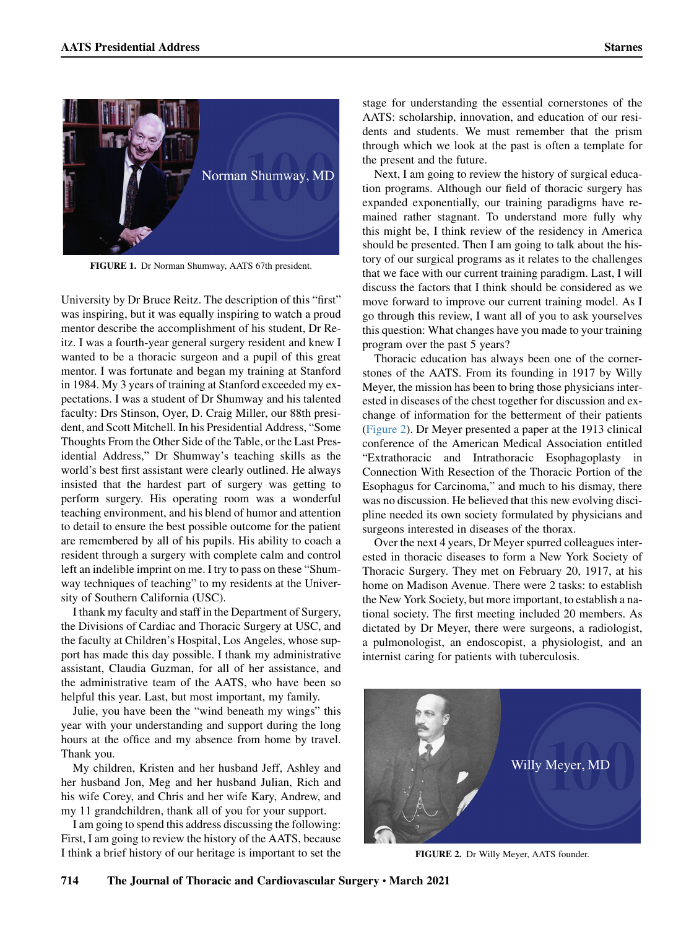<span id="page-1-0"></span>

FIGURE 1. Dr Norman Shumway, AATS 67th president.

University by Dr Bruce Reitz. The description of this "first" was inspiring, but it was equally inspiring to watch a proud mentor describe the accomplishment of his student, Dr Reitz. I was a fourth-year general surgery resident and knew I wanted to be a thoracic surgeon and a pupil of this great mentor. I was fortunate and began my training at Stanford in 1984. My 3 years of training at Stanford exceeded my expectations. I was a student of Dr Shumway and his talented faculty: Drs Stinson, Oyer, D. Craig Miller, our 88th president, and Scott Mitchell. In his Presidential Address, "Some Thoughts From the Other Side of the Table, or the Last Presidential Address," Dr Shumway's teaching skills as the world's best first assistant were clearly outlined. He always insisted that the hardest part of surgery was getting to perform surgery. His operating room was a wonderful teaching environment, and his blend of humor and attention to detail to ensure the best possible outcome for the patient are remembered by all of his pupils. His ability to coach a resident through a surgery with complete calm and control are remembered by all of his pupils. His ability to coach a<br>resident through a surgery with complete calm and control<br>left an indelible imprint on me. I try to pass on these "Shumleft an indelible imprint on me. I try to pass on these "Shum-<br>way techniques of teaching" to my residents at the University of Southern California (USC).

I thank my faculty and staff in the Department of Surgery, the Divisions of Cardiac and Thoracic Surgery at USC, and the faculty at Children's Hospital, Los Angeles, whose support has made this day possible. I thank my administrative assistant, Claudia Guzman, for all of her assistance, and the administrative team of the AATS, who have been so helpful this year. Last, but most important, my family. E administrative team of the AATS, who have been so<br>Ipful this year. Last, but most important, my family.<br>Julie, you have been the "wind beneath my wings" this

year with your understanding and support during the long hours at the office and my absence from home by travel. Thank you.

My children, Kristen and her husband Jeff, Ashley and her husband Jon, Meg and her husband Julian, Rich and his wife Corey, and Chris and her wife Kary, Andrew, and my 11 grandchildren, thank all of you for your support.

I am going to spend this address discussing the following: First, I am going to review the history of the AATS, because I think a brief history of our heritage is important to set the stage for understanding the essential cornerstones of the AATS: scholarship, innovation, and education of our residents and students. We must remember that the prism through which we look at the past is often a template for the present and the future.

Next, I am going to review the history of surgical education programs. Although our field of thoracic surgery has expanded exponentially, our training paradigms have remained rather stagnant. To understand more fully why this might be, I think review of the residency in America should be presented. Then I am going to talk about the history of our surgical programs as it relates to the challenges that we face with our current training paradigm. Last, I will discuss the factors that I think should be considered as we move forward to improve our current training model. As I go through this review, I want all of you to ask yourselves this question: What changes have you made to your training program over the past 5 years?

Thoracic education has always been one of the cornerstones of the AATS. From its founding in 1917 by Willy Meyer, the mission has been to bring those physicians interested in diseases of the chest together for discussion and exchange of information for the betterment of their patients ([Figure 2](#page-1-1)). Dr Meyer presented a paper at the 1913 clinical "conference of the American Medical Association entitled Extrathoracic and Intrathoracic Esophagoplasty in Connection With Resection of the Thoracic Portion of the Esophagus for Carcinoma," and much to his dismay, there was no discussion. He believed that this new evolving discipline needed its own society formulated by physicians and surgeons interested in diseases of the thorax.

Over the next 4 years, Dr Meyer spurred colleagues interested in thoracic diseases to form a New York Society of Thoracic Surgery. They met on February 20, 1917, at his home on Madison Avenue. There were 2 tasks: to establish the New York Society, but more important, to establish a national society. The first meeting included 20 members. As dictated by Dr Meyer, there were surgeons, a radiologist, a pulmonologist, an endoscopist, a physiologist, and an internist caring for patients with tuberculosis.

<span id="page-1-1"></span>

FIGURE 2. Dr Willy Meyer, AATS founder.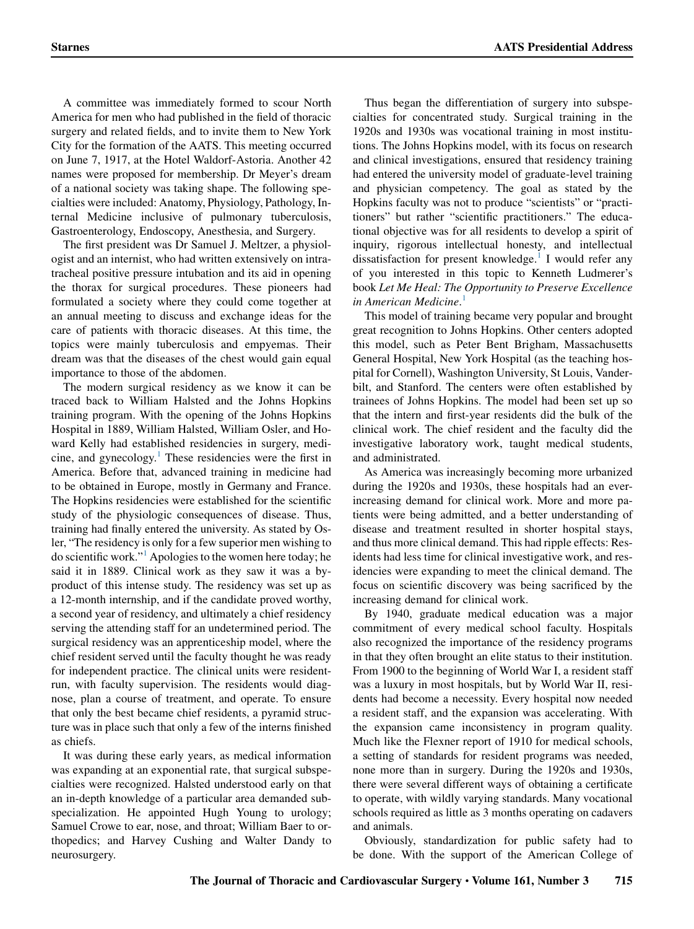A committee was immediately formed to scour North America for men who had published in the field of thoracic surgery and related fields, and to invite them to New York City for the formation of the AATS. This meeting occurred on June 7, 1917, at the Hotel Waldorf-Astoria. Another 42 names were proposed for membership. Dr Meyer's dream of a national society was taking shape. The following specialties were included: Anatomy, Physiology, Pathology, Internal Medicine inclusive of pulmonary tuberculosis, Gastroenterology, Endoscopy, Anesthesia, and Surgery.

The first president was Dr Samuel J. Meltzer, a physiologist and an internist, who had written extensively on intratracheal positive pressure intubation and its aid in opening the thorax for surgical procedures. These pioneers had formulated a society where they could come together at an annual meeting to discuss and exchange ideas for the care of patients with thoracic diseases. At this time, the topics were mainly tuberculosis and empyemas. Their dream was that the diseases of the chest would gain equal importance to those of the abdomen.

The modern surgical residency as we know it can be traced back to William Halsted and the Johns Hopkins training program. With the opening of the Johns Hopkins Hospital in 1889, William Halsted, William Osler, and Howard Kelly had established residencies in surgery, medicine, and gynecology. $\frac{1}{1}$  $\frac{1}{1}$  $\frac{1}{1}$  These residencies were the first in America. Before that, advanced training in medicine had to be obtained in Europe, mostly in Germany and France. The Hopkins residencies were established for the scientific study of the physiologic consequences of disease. Thus, training had finally entered the university. As stated by Osstudy of the physiologic consequences of disease. Thus,<br>training had finally entered the university. As stated by Os-<br>ler, "The residency is only for a few superior men wishing to raming nad many<br>ler, "The residency<br>do scientific work." do scientific work."<sup>[1](#page-9-0)</sup> Apologies to the women here today; he said it in 1889. Clinical work as they saw it was a byproduct of this intense study. The residency was set up as a 12-month internship, and if the candidate proved worthy, a second year of residency, and ultimately a chief residency serving the attending staff for an undetermined period. The surgical residency was an apprenticeship model, where the chief resident served until the faculty thought he was ready for independent practice. The clinical units were residentrun, with faculty supervision. The residents would diagnose, plan a course of treatment, and operate. To ensure that only the best became chief residents, a pyramid structure was in place such that only a few of the interns finished as chiefs.

It was during these early years, as medical information was expanding at an exponential rate, that surgical subspecialties were recognized. Halsted understood early on that an in-depth knowledge of a particular area demanded subspecialization. He appointed Hugh Young to urology; Samuel Crowe to ear, nose, and throat; William Baer to orthopedics; and Harvey Cushing and Walter Dandy to neurosurgery.

Thus began the differentiation of surgery into subspecialties for concentrated study. Surgical training in the 1920s and 1930s was vocational training in most institutions. The Johns Hopkins model, with its focus on research and clinical investigations, ensured that residency training had entered the university model of graduate-level training and physician competency. The goal as stated by the had entered the university model of graduate-level training<br>and physician competency. The goal as stated by the<br>Hopkins faculty was not to produce "scientists" or "practiand physician competency. The goal as stated by the<br>Hopkins faculty was not to produce "scientists" or "practi-<br>tioners" but rather "scientific practitioners." The educational objective was for all residents to develop a spirit of inquiry, rigorous intellectual honesty, and intellectual dissatisfaction for present knowledge.<sup>[1](#page-9-0)</sup> I would refer any of you interested in this topic to Kenneth Ludmerer's book Let Me Heal: The Opportunity to Preserve Excellence in American Medicine.<sup>[1](#page-9-0)</sup>

This model of training became very popular and brought great recognition to Johns Hopkins. Other centers adopted this model, such as Peter Bent Brigham, Massachusetts General Hospital, New York Hospital (as the teaching hospital for Cornell), Washington University, St Louis, Vanderbilt, and Stanford. The centers were often established by trainees of Johns Hopkins. The model had been set up so that the intern and first-year residents did the bulk of the clinical work. The chief resident and the faculty did the investigative laboratory work, taught medical students, and administrated.

As America was increasingly becoming more urbanized during the 1920s and 1930s, these hospitals had an everincreasing demand for clinical work. More and more patients were being admitted, and a better understanding of disease and treatment resulted in shorter hospital stays, and thus more clinical demand. This had ripple effects: Residents had less time for clinical investigative work, and residencies were expanding to meet the clinical demand. The focus on scientific discovery was being sacrificed by the increasing demand for clinical work.

By 1940, graduate medical education was a major commitment of every medical school faculty. Hospitals also recognized the importance of the residency programs in that they often brought an elite status to their institution. From 1900 to the beginning of World War I, a resident staff was a luxury in most hospitals, but by World War II, residents had become a necessity. Every hospital now needed a resident staff, and the expansion was accelerating. With the expansion came inconsistency in program quality. Much like the Flexner report of 1910 for medical schools, a setting of standards for resident programs was needed, none more than in surgery. During the 1920s and 1930s, there were several different ways of obtaining a certificate to operate, with wildly varying standards. Many vocational schools required as little as 3 months operating on cadavers and animals.

Obviously, standardization for public safety had to be done. With the support of the American College of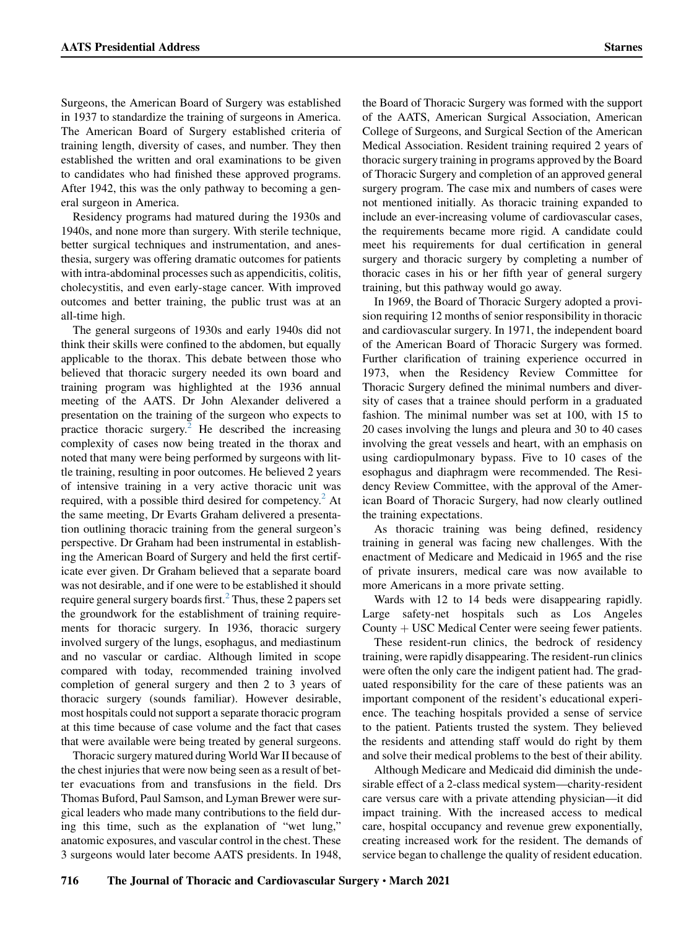Surgeons, the American Board of Surgery was established in 1937 to standardize the training of surgeons in America. The American Board of Surgery established criteria of training length, diversity of cases, and number. They then established the written and oral examinations to be given to candidates who had finished these approved programs. After 1942, this was the only pathway to becoming a general surgeon in America.

Residency programs had matured during the 1930s and 1940s, and none more than surgery. With sterile technique, better surgical techniques and instrumentation, and anesthesia, surgery was offering dramatic outcomes for patients with intra-abdominal processes such as appendicitis, colitis, cholecystitis, and even early-stage cancer. With improved outcomes and better training, the public trust was at an all-time high.

The general surgeons of 1930s and early 1940s did not think their skills were confined to the abdomen, but equally applicable to the thorax. This debate between those who believed that thoracic surgery needed its own board and training program was highlighted at the 1936 annual meeting of the AATS. Dr John Alexander delivered a presentation on the training of the surgeon who expects to practice thoracic surgery.<sup>[2](#page-9-1)</sup> He described the increasing complexity of cases now being treated in the thorax and noted that many were being performed by surgeons with little training, resulting in poor outcomes. He believed 2 years of intensive training in a very active thoracic unit was required, with a possible third desired for competency.<sup>[2](#page-9-1)</sup> At the same meeting, Dr Evarts Graham delivered a presentation outlining thoracic training from the general surgeon's perspective. Dr Graham had been instrumental in establishing the American Board of Surgery and held the first certificate ever given. Dr Graham believed that a separate board was not desirable, and if one were to be established it should require general surgery boards first.<sup>[2](#page-9-1)</sup> Thus, these 2 papers set the groundwork for the establishment of training requirements for thoracic surgery. In 1936, thoracic surgery involved surgery of the lungs, esophagus, and mediastinum and no vascular or cardiac. Although limited in scope compared with today, recommended training involved completion of general surgery and then 2 to 3 years of thoracic surgery (sounds familiar). However desirable, most hospitals could not support a separate thoracic program at this time because of case volume and the fact that cases that were available were being treated by general surgeons.

Thoracic surgery matured during World War II because of the chest injuries that were now being seen as a result of better evacuations from and transfusions in the field. Drs Thomas Buford, Paul Samson, and Lyman Brewer were surgical leaders who made many contributions to the field during this time, such as the explanation of "wet lung," anatomic exposures, and vascular control in the chest. These 3 surgeons would later become AATS presidents. In 1948,

the Board of Thoracic Surgery was formed with the support of the AATS, American Surgical Association, American College of Surgeons, and Surgical Section of the American Medical Association. Resident training required 2 years of thoracic surgery training in programs approved by the Board of Thoracic Surgery and completion of an approved general surgery program. The case mix and numbers of cases were not mentioned initially. As thoracic training expanded to include an ever-increasing volume of cardiovascular cases, the requirements became more rigid. A candidate could meet his requirements for dual certification in general surgery and thoracic surgery by completing a number of thoracic cases in his or her fifth year of general surgery training, but this pathway would go away.

In 1969, the Board of Thoracic Surgery adopted a provision requiring 12 months of senior responsibility in thoracic and cardiovascular surgery. In 1971, the independent board of the American Board of Thoracic Surgery was formed. Further clarification of training experience occurred in 1973, when the Residency Review Committee for Thoracic Surgery defined the minimal numbers and diversity of cases that a trainee should perform in a graduated fashion. The minimal number was set at 100, with 15 to 20 cases involving the lungs and pleura and 30 to 40 cases involving the great vessels and heart, with an emphasis on using cardiopulmonary bypass. Five to 10 cases of the esophagus and diaphragm were recommended. The Residency Review Committee, with the approval of the American Board of Thoracic Surgery, had now clearly outlined the training expectations.

As thoracic training was being defined, residency training in general was facing new challenges. With the enactment of Medicare and Medicaid in 1965 and the rise of private insurers, medical care was now available to more Americans in a more private setting.

Wards with 12 to 14 beds were disappearing rapidly. Large safety-net hospitals such as Los Angeles County  $+$  USC Medical Center were seeing fewer patients.

These resident-run clinics, the bedrock of residency training, were rapidly disappearing. The resident-run clinics were often the only care the indigent patient had. The graduated responsibility for the care of these patients was an important component of the resident's educational experience. The teaching hospitals provided a sense of service to the patient. Patients trusted the system. They believed the residents and attending staff would do right by them and solve their medical problems to the best of their ability.

Although Medicare and Medicaid did diminish the undesirable effect of a 2-class medical system—charity-resident care versus care with a private attending physician—it did impact training. With the increased access to medical care, hospital occupancy and revenue grew exponentially, creating increased work for the resident. The demands of service began to challenge the quality of resident education.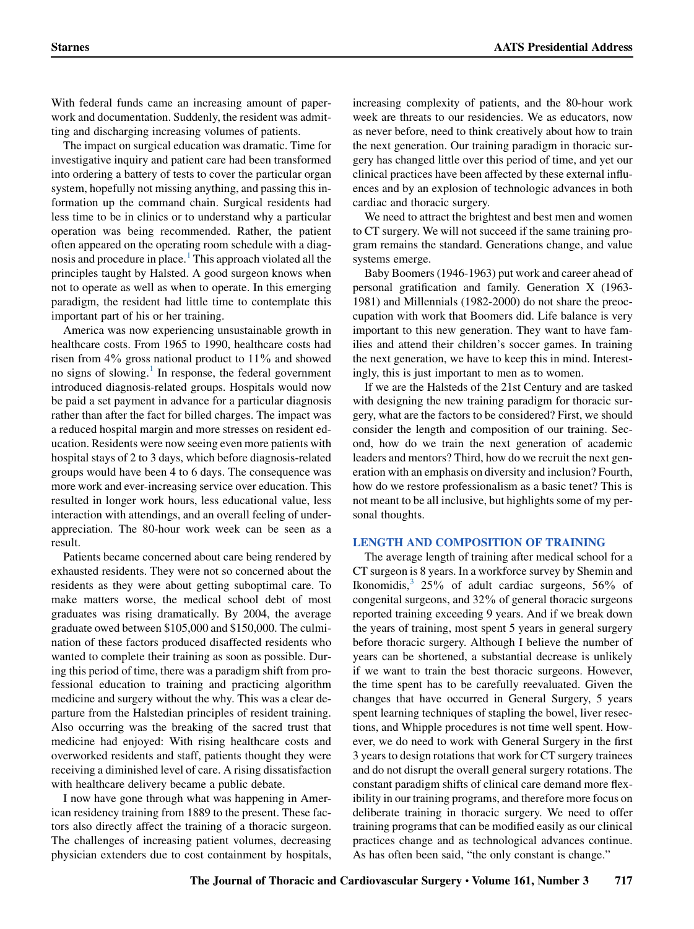With federal funds came an increasing amount of paperwork and documentation. Suddenly, the resident was admitting and discharging increasing volumes of patients.

The impact on surgical education was dramatic. Time for investigative inquiry and patient care had been transformed into ordering a battery of tests to cover the particular organ system, hopefully not missing anything, and passing this information up the command chain. Surgical residents had less time to be in clinics or to understand why a particular operation was being recommended. Rather, the patient often appeared on the operating room schedule with a diag-nosis and procedure in place.<sup>[1](#page-9-0)</sup> This approach violated all the principles taught by Halsted. A good surgeon knows when not to operate as well as when to operate. In this emerging paradigm, the resident had little time to contemplate this important part of his or her training.

America was now experiencing unsustainable growth in healthcare costs. From 1965 to 1990, healthcare costs had risen from  $4\%$  gross national product to  $11\%$  and showed no signs of slowing. $<sup>1</sup>$  $<sup>1</sup>$  $<sup>1</sup>$  In response, the federal government</sup> introduced diagnosis-related groups. Hospitals would now be paid a set payment in advance for a particular diagnosis rather than after the fact for billed charges. The impact was a reduced hospital margin and more stresses on resident education. Residents were now seeing even more patients with hospital stays of 2 to 3 days, which before diagnosis-related groups would have been 4 to 6 days. The consequence was more work and ever-increasing service over education. This resulted in longer work hours, less educational value, less interaction with attendings, and an overall feeling of underappreciation. The 80-hour work week can be seen as a result.

Patients became concerned about care being rendered by exhausted residents. They were not so concerned about the residents as they were about getting suboptimal care. To make matters worse, the medical school debt of most graduates was rising dramatically. By 2004, the average graduate owed between \$105,000 and \$150,000. The culmination of these factors produced disaffected residents who wanted to complete their training as soon as possible. During this period of time, there was a paradigm shift from professional education to training and practicing algorithm medicine and surgery without the why. This was a clear departure from the Halstedian principles of resident training. Also occurring was the breaking of the sacred trust that medicine had enjoyed: With rising healthcare costs and overworked residents and staff, patients thought they were receiving a diminished level of care. A rising dissatisfaction with healthcare delivery became a public debate.

I now have gone through what was happening in American residency training from 1889 to the present. These factors also directly affect the training of a thoracic surgeon. The challenges of increasing patient volumes, decreasing physician extenders due to cost containment by hospitals, increasing complexity of patients, and the 80-hour work week are threats to our residencies. We as educators, now as never before, need to think creatively about how to train the next generation. Our training paradigm in thoracic surgery has changed little over this period of time, and yet our clinical practices have been affected by these external influences and by an explosion of technologic advances in both cardiac and thoracic surgery.

We need to attract the brightest and best men and women to CT surgery. We will not succeed if the same training program remains the standard. Generations change, and value systems emerge.

Baby Boomers (1946-1963) put work and career ahead of personal gratification and family. Generation X (1963- 1981) and Millennials (1982-2000) do not share the preoccupation with work that Boomers did. Life balance is very important to this new generation. They want to have families and attend their children's soccer games. In training the next generation, we have to keep this in mind. Interestingly, this is just important to men as to women.

If we are the Halsteds of the 21st Century and are tasked with designing the new training paradigm for thoracic surgery, what are the factors to be considered? First, we should consider the length and composition of our training. Second, how do we train the next generation of academic leaders and mentors? Third, how do we recruit the next generation with an emphasis on diversity and inclusion? Fourth, how do we restore professionalism as a basic tenet? This is not meant to be all inclusive, but highlights some of my personal thoughts.

## LENGTH AND COMPOSITION OF TRAINING

The average length of training after medical school for a CT surgeon is 8 years. In a workforce survey by Shemin and Ikonomidis,  $3\frac{25}{%}$  $3\frac{25}{%}$  of adult cardiac surgeons,  $56\%$  of congenital surgeons, and 32% of general thoracic surgeons reported training exceeding 9 years. And if we break down the years of training, most spent 5 years in general surgery before thoracic surgery. Although I believe the number of years can be shortened, a substantial decrease is unlikely if we want to train the best thoracic surgeons. However, the time spent has to be carefully reevaluated. Given the changes that have occurred in General Surgery, 5 years spent learning techniques of stapling the bowel, liver resections, and Whipple procedures is not time well spent. However, we do need to work with General Surgery in the first 3 years to design rotations that work for CT surgery trainees and do not disrupt the overall general surgery rotations. The constant paradigm shifts of clinical care demand more flexibility in our training programs, and therefore more focus on deliberate training in thoracic surgery. We need to offer training programs that can be modified easily as our clinical practices change and as technological advances continue. As has often been said, "the only constant is change."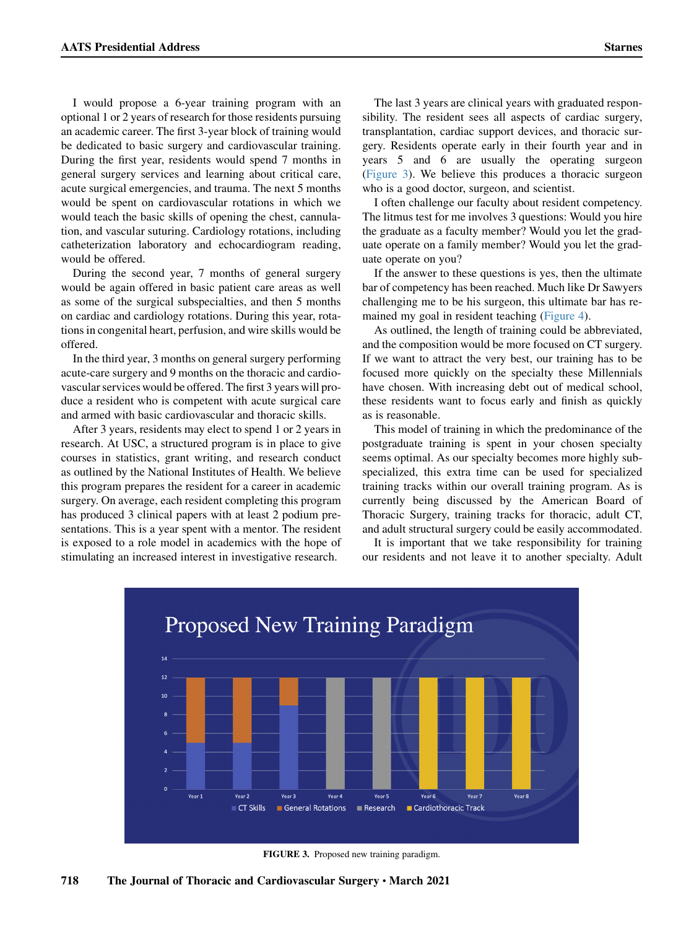I would propose a 6-year training program with an optional 1 or 2 years of research for those residents pursuing an academic career. The first 3-year block of training would be dedicated to basic surgery and cardiovascular training. During the first year, residents would spend 7 months in general surgery services and learning about critical care, acute surgical emergencies, and trauma. The next 5 months would be spent on cardiovascular rotations in which we would teach the basic skills of opening the chest, cannulation, and vascular suturing. Cardiology rotations, including catheterization laboratory and echocardiogram reading, would be offered.

During the second year, 7 months of general surgery would be again offered in basic patient care areas as well as some of the surgical subspecialties, and then 5 months on cardiac and cardiology rotations. During this year, rotations in congenital heart, perfusion, and wire skills would be offered.

In the third year, 3 months on general surgery performing acute-care surgery and 9 months on the thoracic and cardiovascular services would be offered. The first 3 years will produce a resident who is competent with acute surgical care and armed with basic cardiovascular and thoracic skills.

After 3 years, residents may elect to spend 1 or 2 years in research. At USC, a structured program is in place to give courses in statistics, grant writing, and research conduct as outlined by the National Institutes of Health. We believe this program prepares the resident for a career in academic surgery. On average, each resident completing this program has produced 3 clinical papers with at least 2 podium presentations. This is a year spent with a mentor. The resident is exposed to a role model in academics with the hope of stimulating an increased interest in investigative research.

The last 3 years are clinical years with graduated responsibility. The resident sees all aspects of cardiac surgery, transplantation, cardiac support devices, and thoracic surgery. Residents operate early in their fourth year and in years 5 and 6 are usually the operating surgeon ([Figure 3](#page-5-0)). We believe this produces a thoracic surgeon who is a good doctor, surgeon, and scientist.

I often challenge our faculty about resident competency. The litmus test for me involves 3 questions: Would you hire the graduate as a faculty member? Would you let the graduate operate on a family member? Would you let the graduate operate on you?

If the answer to these questions is yes, then the ultimate bar of competency has been reached. Much like Dr Sawyers challenging me to be his surgeon, this ultimate bar has remained my goal in resident teaching ([Figure 4\)](#page-6-0).

As outlined, the length of training could be abbreviated, and the composition would be more focused on CT surgery. If we want to attract the very best, our training has to be focused more quickly on the specialty these Millennials have chosen. With increasing debt out of medical school, these residents want to focus early and finish as quickly as is reasonable.

This model of training in which the predominance of the postgraduate training is spent in your chosen specialty seems optimal. As our specialty becomes more highly subspecialized, this extra time can be used for specialized training tracks within our overall training program. As is currently being discussed by the American Board of Thoracic Surgery, training tracks for thoracic, adult CT, and adult structural surgery could be easily accommodated.

It is important that we take responsibility for training our residents and not leave it to another specialty. Adult

<span id="page-5-0"></span>

FIGURE 3. Proposed new training paradigm.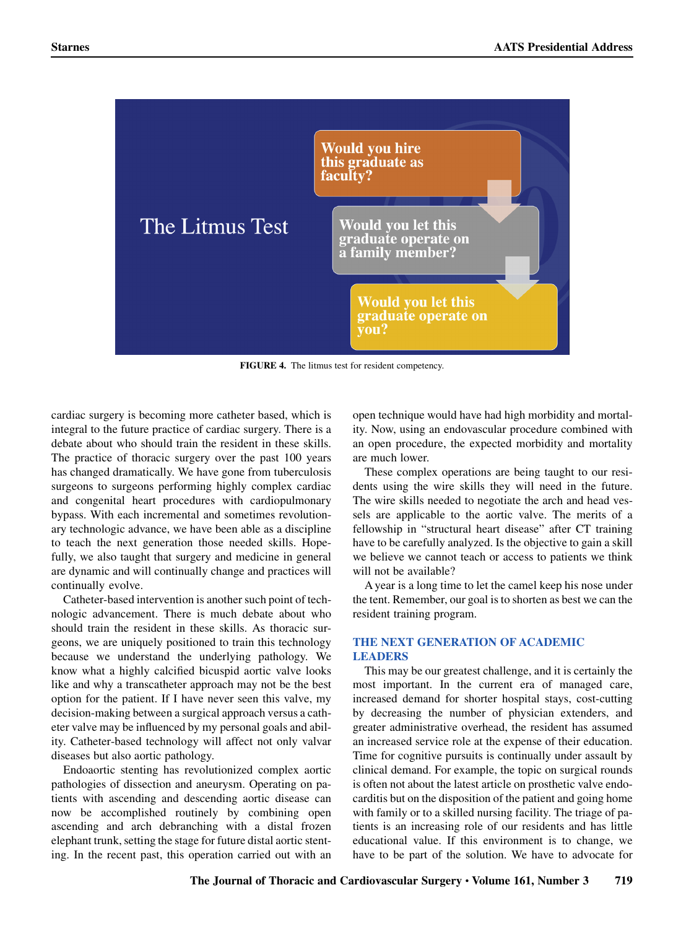<span id="page-6-0"></span>

FIGURE 4. The litmus test for resident competency.

cardiac surgery is becoming more catheter based, which is integral to the future practice of cardiac surgery. There is a debate about who should train the resident in these skills. The practice of thoracic surgery over the past 100 years has changed dramatically. We have gone from tuberculosis surgeons to surgeons performing highly complex cardiac and congenital heart procedures with cardiopulmonary bypass. With each incremental and sometimes revolutionary technologic advance, we have been able as a discipline to teach the next generation those needed skills. Hopefully, we also taught that surgery and medicine in general are dynamic and will continually change and practices will continually evolve.

Catheter-based intervention is another such point of technologic advancement. There is much debate about who should train the resident in these skills. As thoracic surgeons, we are uniquely positioned to train this technology because we understand the underlying pathology. We know what a highly calcified bicuspid aortic valve looks like and why a transcatheter approach may not be the best option for the patient. If I have never seen this valve, my decision-making between a surgical approach versus a catheter valve may be influenced by my personal goals and ability. Catheter-based technology will affect not only valvar diseases but also aortic pathology.

Endoaortic stenting has revolutionized complex aortic pathologies of dissection and aneurysm. Operating on patients with ascending and descending aortic disease can now be accomplished routinely by combining open ascending and arch debranching with a distal frozen elephant trunk, setting the stage for future distal aortic stenting. In the recent past, this operation carried out with an

open technique would have had high morbidity and mortality. Now, using an endovascular procedure combined with an open procedure, the expected morbidity and mortality are much lower.

These complex operations are being taught to our residents using the wire skills they will need in the future. The wire skills needed to negotiate the arch and head vessels are applicable to the aortic valve. The merits of a Fire wire skins needed to negotiate the arch and head vessels are applicable to the aortic valve. The merits of a fellowship in "structural heart disease" after CT training have to be carefully analyzed. Is the objective to gain a skill we believe we cannot teach or access to patients we think will not be available?

A year is a long time to let the camel keep his nose under the tent. Remember, our goal is to shorten as best we can the resident training program.

# THE NEXT GENERATION OF ACADEMIC LEADERS

This may be our greatest challenge, and it is certainly the most important. In the current era of managed care, increased demand for shorter hospital stays, cost-cutting by decreasing the number of physician extenders, and greater administrative overhead, the resident has assumed an increased service role at the expense of their education. Time for cognitive pursuits is continually under assault by clinical demand. For example, the topic on surgical rounds is often not about the latest article on prosthetic valve endocarditis but on the disposition of the patient and going home with family or to a skilled nursing facility. The triage of patients is an increasing role of our residents and has little educational value. If this environment is to change, we have to be part of the solution. We have to advocate for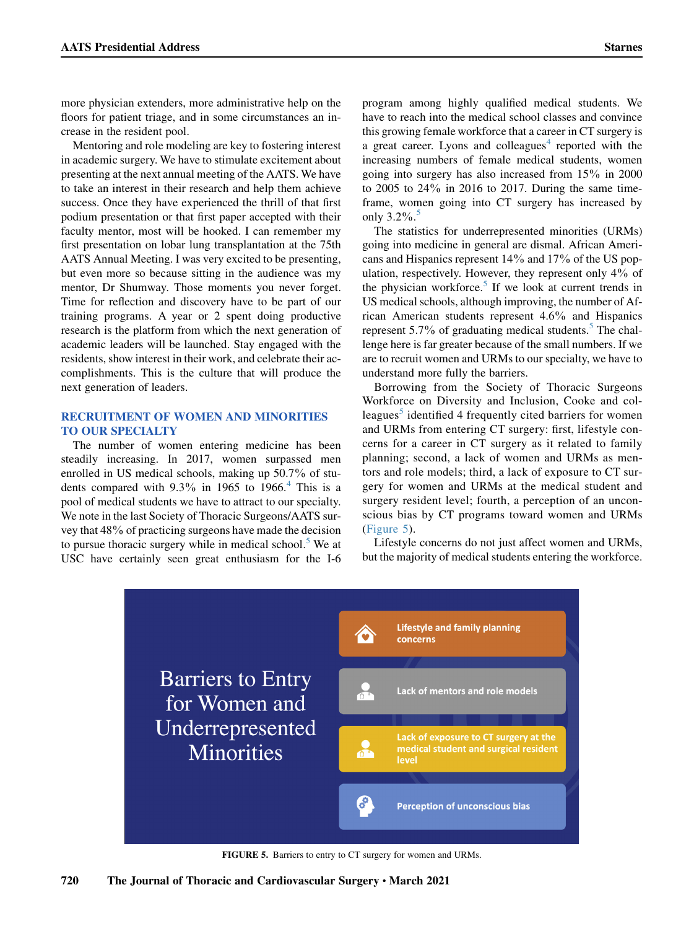more physician extenders, more administrative help on the floors for patient triage, and in some circumstances an increase in the resident pool.

Mentoring and role modeling are key to fostering interest in academic surgery. We have to stimulate excitement about presenting at the next annual meeting of the AATS. We have to take an interest in their research and help them achieve success. Once they have experienced the thrill of that first podium presentation or that first paper accepted with their faculty mentor, most will be hooked. I can remember my first presentation on lobar lung transplantation at the 75th AATS Annual Meeting. I was very excited to be presenting, but even more so because sitting in the audience was my mentor, Dr Shumway. Those moments you never forget. Time for reflection and discovery have to be part of our training programs. A year or 2 spent doing productive research is the platform from which the next generation of academic leaders will be launched. Stay engaged with the residents, show interest in their work, and celebrate their accomplishments. This is the culture that will produce the next generation of leaders.

# RECRUITMENT OF WOMEN AND MINORITIES TO OUR SPECIALTY

The number of women entering medicine has been steadily increasing. In 2017, women surpassed men enrolled in US medical schools, making up 50.7% of students compared with  $9.3\%$  in 1965 to 1966.<sup>[4](#page-9-3)</sup> This is a pool of medical students we have to attract to our specialty. We note in the last Society of Thoracic Surgeons/AATS survey that 48% of practicing surgeons have made the decision to pursue thoracic surgery while in medical school. $\delta$  We at USC have certainly seen great enthusiasm for the I-6

program among highly qualified medical students. We have to reach into the medical school classes and convince this growing female workforce that a career in CT surgery is a great career. Lyons and colleagues<sup>[4](#page-9-3)</sup> reported with the increasing numbers of female medical students, women going into surgery has also increased from 15% in 2000 to 2005 to 24% in 2016 to 2017. During the same timeframe, women going into CT surgery has increased by only 3.2%. [5](#page-9-4)

The statistics for underrepresented minorities (URMs) going into medicine in general are dismal. African Americans and Hispanics represent 14% and 17% of the US population, respectively. However, they represent only 4% of the physician workforce.<sup>[5](#page-9-4)</sup> If we look at current trends in US medical schools, although improving, the number of African American students represent 4.6% and Hispanics represent  $5.7\%$  $5.7\%$  of graduating medical students.<sup>5</sup> The challenge here is far greater because of the small numbers. If we are to recruit women and URMs to our specialty, we have to understand more fully the barriers.

Borrowing from the Society of Thoracic Surgeons Workforce on Diversity and Inclusion, Cooke and colleagues<sup>3</sup> identified 4 frequently cited barriers for women and URMs from entering CT surgery: first, lifestyle concerns for a career in CT surgery as it related to family planning; second, a lack of women and URMs as mentors and role models; third, a lack of exposure to CT surgery for women and URMs at the medical student and surgery resident level; fourth, a perception of an unconscious bias by CT programs toward women and URMs ([Figure 5\)](#page-7-0).

Lifestyle concerns do not just affect women and URMs, but the majority of medical students entering the workforce.

<span id="page-7-0"></span>

FIGURE 5. Barriers to entry to CT surgery for women and URMs.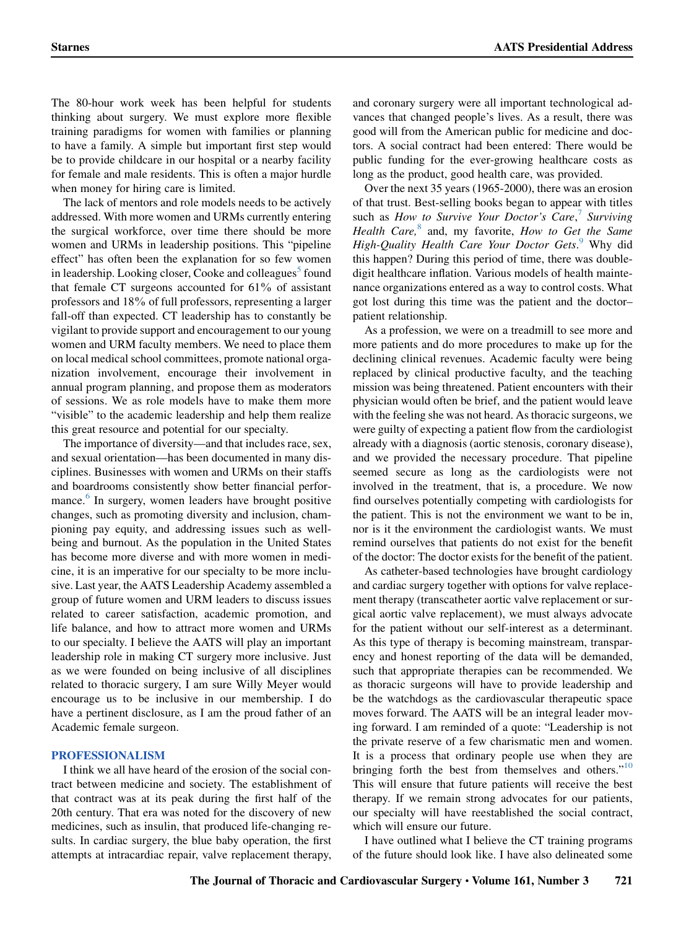The 80-hour work week has been helpful for students thinking about surgery. We must explore more flexible training paradigms for women with families or planning to have a family. A simple but important first step would be to provide childcare in our hospital or a nearby facility for female and male residents. This is often a major hurdle when money for hiring care is limited.

The lack of mentors and role models needs to be actively addressed. With more women and URMs currently entering the surgical workforce, over time there should be more addressed. With more women and URMs currently entering<br>the surgical workforce, over time there should be more<br>women and URMs in leadership positions. This "pipeline women and URMs in leadership positions. This "pipeline effect" has often been the explanation for so few women in leadership. Looking closer, Cooke and colleagues<sup>5</sup> found that female CT surgeons accounted for  $61\%$  of assistant professors and 18% of full professors, representing a larger fall-off than expected. CT leadership has to constantly be vigilant to provide support and encouragement to our young women and URM faculty members. We need to place them on local medical school committees, promote national organization involvement, encourage their involvement in annual program planning, and propose them as moderators "of sessions. We as role models have to make them more f sessions. We as role models have to make them more<br>if sessions. We as role models have to make them more<br>visible" to the academic leadership and help them realize this great resource and potential for our specialty.

The importance of diversity—and that includes race, sex, and sexual orientation—has been documented in many disciplines. Businesses with women and URMs on their staffs and boardrooms consistently show better financial perfor-mance.<sup>[6](#page-9-5)</sup> In surgery, women leaders have brought positive changes, such as promoting diversity and inclusion, championing pay equity, and addressing issues such as wellbeing and burnout. As the population in the United States has become more diverse and with more women in medicine, it is an imperative for our specialty to be more inclusive. Last year, the AATS Leadership Academy assembled a group of future women and URM leaders to discuss issues related to career satisfaction, academic promotion, and life balance, and how to attract more women and URMs to our specialty. I believe the AATS will play an important leadership role in making CT surgery more inclusive. Just as we were founded on being inclusive of all disciplines related to thoracic surgery, I am sure Willy Meyer would encourage us to be inclusive in our membership. I do have a pertinent disclosure, as I am the proud father of an Academic female surgeon.

# PROFESSIONALISM

I think we all have heard of the erosion of the social contract between medicine and society. The establishment of that contract was at its peak during the first half of the 20th century. That era was noted for the discovery of new medicines, such as insulin, that produced life-changing results. In cardiac surgery, the blue baby operation, the first attempts at intracardiac repair, valve replacement therapy,

and coronary surgery were all important technological advances that changed people's lives. As a result, there was good will from the American public for medicine and doctors. A social contract had been entered: There would be public funding for the ever-growing healthcare costs as long as the product, good health care, was provided.

Over the next 35 years (1965-2000), there was an erosion of that trust. Best-selling books began to appear with titles such as How to Survive Your Doctor's Care,<sup>[7](#page-9-6)</sup> Surviving Health Care, $8$  and, my favorite, How to Get the Same High-Quality Health Care Your Doctor Gets.<sup>[9](#page-9-8)</sup> Why did this happen? During this period of time, there was doubledigit healthcare inflation. Various models of health maintenance organizations entered as a way to control costs. What got lost during this time was the patient and the doctor– patient relationship.

As a profession, we were on a treadmill to see more and more patients and do more procedures to make up for the declining clinical revenues. Academic faculty were being replaced by clinical productive faculty, and the teaching mission was being threatened. Patient encounters with their physician would often be brief, and the patient would leave with the feeling she was not heard. As thoracic surgeons, we were guilty of expecting a patient flow from the cardiologist already with a diagnosis (aortic stenosis, coronary disease), and we provided the necessary procedure. That pipeline seemed secure as long as the cardiologists were not involved in the treatment, that is, a procedure. We now find ourselves potentially competing with cardiologists for the patient. This is not the environment we want to be in, nor is it the environment the cardiologist wants. We must remind ourselves that patients do not exist for the benefit of the doctor: The doctor exists for the benefit of the patient.

As catheter-based technologies have brought cardiology and cardiac surgery together with options for valve replacement therapy (transcatheter aortic valve replacement or surgical aortic valve replacement), we must always advocate for the patient without our self-interest as a determinant. As this type of therapy is becoming mainstream, transparency and honest reporting of the data will be demanded, such that appropriate therapies can be recommended. We as thoracic surgeons will have to provide leadership and be the watchdogs as the cardiovascular therapeutic space moves forward. The AATS will be an integral leader movbe the watchlogs as the cardiovascular therapeutic space<br>moves forward. The AATS will be an integral leader mov-<br>ing forward. I am reminded of a quote: "Leadership is not the private reserve of a few charismatic men and women. It is a process that ordinary people use when they are In the private reserve of a few charismatic men and women.<br>It is a process that ordinary people use when they are<br>bringing forth the best from themselves and others."<sup>[10](#page-9-9)</sup> This will ensure that future patients will receive the best therapy. If we remain strong advocates for our patients, our specialty will have reestablished the social contract, which will ensure our future.

I have outlined what I believe the CT training programs of the future should look like. I have also delineated some